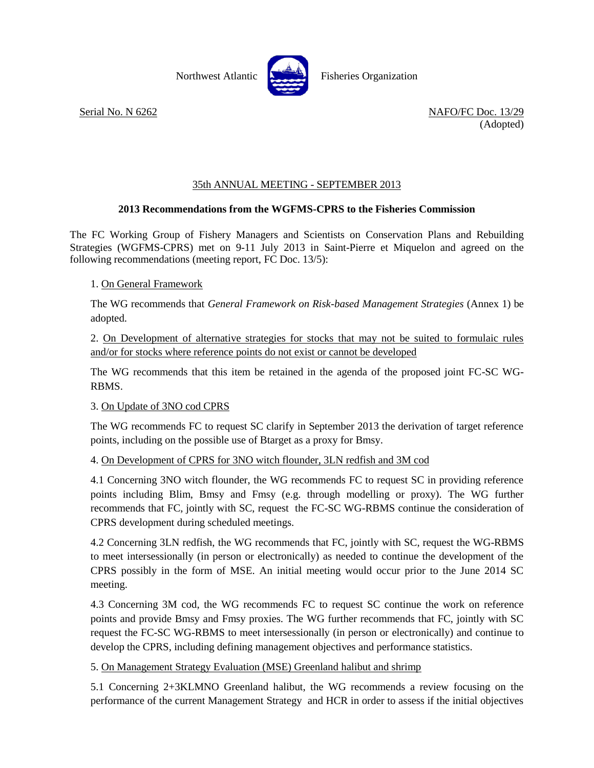Northwest Atlantic **No. 3. Exercise** Fisheries Organization



Serial No. N 6262 NAFO/FC Doc. 13/29 (Adopted)

# 35th ANNUAL MEETING - SEPTEMBER 2013

# **2013 Recommendations from the WGFMS-CPRS to the Fisheries Commission**

The FC Working Group of Fishery Managers and Scientists on Conservation Plans and Rebuilding Strategies (WGFMS-CPRS) met on 9-11 July 2013 in Saint-Pierre et Miquelon and agreed on the following recommendations (meeting report, FC Doc. 13/5):

# 1. On General Framework

The WG recommends that *General Framework on Risk-based Management Strategies* (Annex 1) be adopted.

2. On Development of alternative strategies for stocks that may not be suited to formulaic rules and/or for stocks where reference points do not exist or cannot be developed

The WG recommends that this item be retained in the agenda of the proposed joint FC-SC WG-RBMS.

# 3. On Update of 3NO cod CPRS

The WG recommends FC to request SC clarify in September 2013 the derivation of target reference points, including on the possible use of Btarget as a proxy for Bmsy.

#### 4. On Development of CPRS for 3NO witch flounder, 3LN redfish and 3M cod

4.1 Concerning 3NO witch flounder, the WG recommends FC to request SC in providing reference points including Blim, Bmsy and Fmsy (e.g. through modelling or proxy). The WG further recommends that FC, jointly with SC, request the FC-SC WG-RBMS continue the consideration of CPRS development during scheduled meetings.

4.2 Concerning 3LN redfish, the WG recommends that FC, jointly with SC, request the WG-RBMS to meet intersessionally (in person or electronically) as needed to continue the development of the CPRS possibly in the form of MSE. An initial meeting would occur prior to the June 2014 SC meeting.

4.3 Concerning 3M cod, the WG recommends FC to request SC continue the work on reference points and provide Bmsy and Fmsy proxies. The WG further recommends that FC, jointly with SC request the FC-SC WG-RBMS to meet intersessionally (in person or electronically) and continue to develop the CPRS, including defining management objectives and performance statistics.

5. On Management Strategy Evaluation (MSE) Greenland halibut and shrimp

5.1 Concerning 2+3KLMNO Greenland halibut, the WG recommends a review focusing on the performance of the current Management Strategy and HCR in order to assess if the initial objectives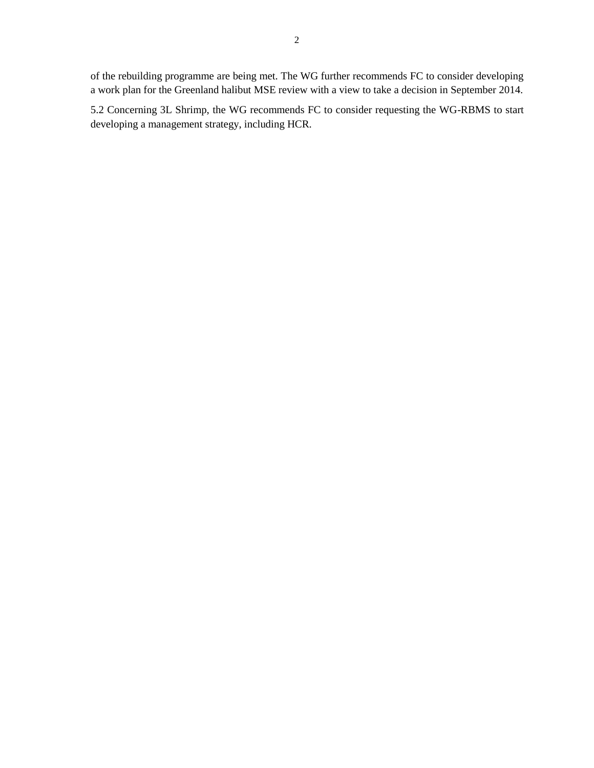of the rebuilding programme are being met. The WG further recommends FC to consider developing a work plan for the Greenland halibut MSE review with a view to take a decision in September 2014.

5.2 Concerning 3L Shrimp, the WG recommends FC to consider requesting the WG-RBMS to start developing a management strategy, including HCR.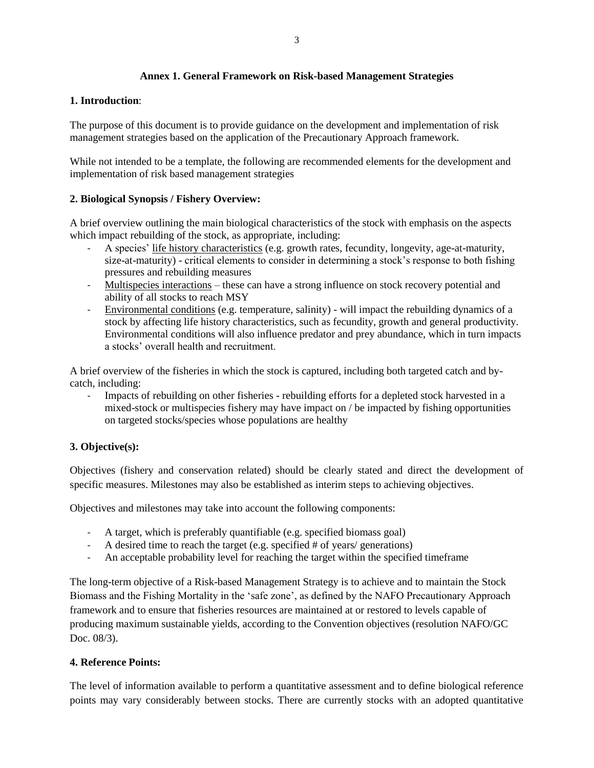## **Annex 1. General Framework on Risk-based Management Strategies**

### **1. Introduction**:

The purpose of this document is to provide guidance on the development and implementation of risk management strategies based on the application of the Precautionary Approach framework.

While not intended to be a template, the following are recommended elements for the development and implementation of risk based management strategies

## **2. Biological Synopsis / Fishery Overview:**

A brief overview outlining the main biological characteristics of the stock with emphasis on the aspects which impact rebuilding of the stock, as appropriate, including:

- A species' life history characteristics (e.g. growth rates, fecundity, longevity, age-at-maturity, size-at-maturity) - critical elements to consider in determining a stock's response to both fishing pressures and rebuilding measures
- Multispecies interactions these can have a strong influence on stock recovery potential and ability of all stocks to reach MSY
- Environmental conditions (e.g. temperature, salinity) will impact the rebuilding dynamics of a stock by affecting life history characteristics, such as fecundity, growth and general productivity. Environmental conditions will also influence predator and prey abundance, which in turn impacts a stocks' overall health and recruitment.

A brief overview of the fisheries in which the stock is captured, including both targeted catch and bycatch, including:

- Impacts of rebuilding on other fisheries - rebuilding efforts for a depleted stock harvested in a mixed-stock or multispecies fishery may have impact on / be impacted by fishing opportunities on targeted stocks/species whose populations are healthy

# **3. Objective(s):**

Objectives (fishery and conservation related) should be clearly stated and direct the development of specific measures. Milestones may also be established as interim steps to achieving objectives.

Objectives and milestones may take into account the following components:

- A target, which is preferably quantifiable (e.g. specified biomass goal)
- A desired time to reach the target (e.g. specified # of years/ generations)
- An acceptable probability level for reaching the target within the specified timeframe

The long-term objective of a Risk-based Management Strategy is to achieve and to maintain the Stock Biomass and the Fishing Mortality in the 'safe zone', as defined by the NAFO Precautionary Approach framework and to ensure that fisheries resources are maintained at or restored to levels capable of producing maximum sustainable yields, according to the Convention objectives (resolution NAFO/GC Doc. 08/3).

# **4. Reference Points:**

The level of information available to perform a quantitative assessment and to define biological reference points may vary considerably between stocks. There are currently stocks with an adopted quantitative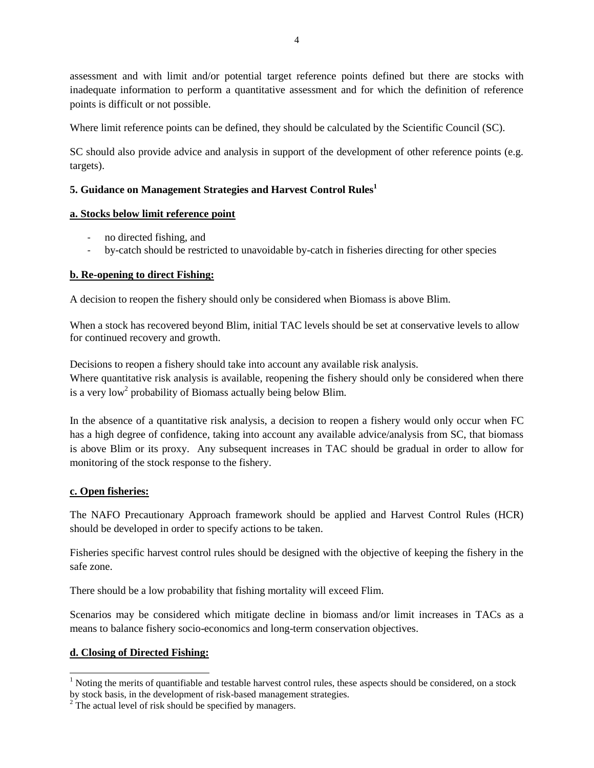assessment and with limit and/or potential target reference points defined but there are stocks with inadequate information to perform a quantitative assessment and for which the definition of reference points is difficult or not possible.

Where limit reference points can be defined, they should be calculated by the Scientific Council (SC).

SC should also provide advice and analysis in support of the development of other reference points (e.g. targets).

# **5. Guidance on Management Strategies and Harvest Control Rules<sup>1</sup>**

# **a. Stocks below limit reference point**

- no directed fishing, and
- by-catch should be restricted to unavoidable by-catch in fisheries directing for other species

# **b. Re-opening to direct Fishing:**

A decision to reopen the fishery should only be considered when Biomass is above Blim.

When a stock has recovered beyond Blim, initial TAC levels should be set at conservative levels to allow for continued recovery and growth.

Decisions to reopen a fishery should take into account any available risk analysis. Where quantitative risk analysis is available, reopening the fishery should only be considered when there is a very  $low<sup>2</sup>$  probability of Biomass actually being below Blim.

In the absence of a quantitative risk analysis, a decision to reopen a fishery would only occur when FC has a high degree of confidence, taking into account any available advice/analysis from SC, that biomass is above Blim or its proxy. Any subsequent increases in TAC should be gradual in order to allow for monitoring of the stock response to the fishery.

# **c. Open fisheries:**

The NAFO Precautionary Approach framework should be applied and Harvest Control Rules (HCR) should be developed in order to specify actions to be taken.

Fisheries specific harvest control rules should be designed with the objective of keeping the fishery in the safe zone.

There should be a low probability that fishing mortality will exceed Flim.

Scenarios may be considered which mitigate decline in biomass and/or limit increases in TACs as a means to balance fishery socio-economics and long-term conservation objectives.

# **d. Closing of Directed Fishing:**

l

<sup>&</sup>lt;sup>1</sup> Noting the merits of quantifiable and testable harvest control rules, these aspects should be considered, on a stock by stock basis, in the development of risk-based management strategies.

 $2^{2}$  The actual level of risk should be specified by managers.